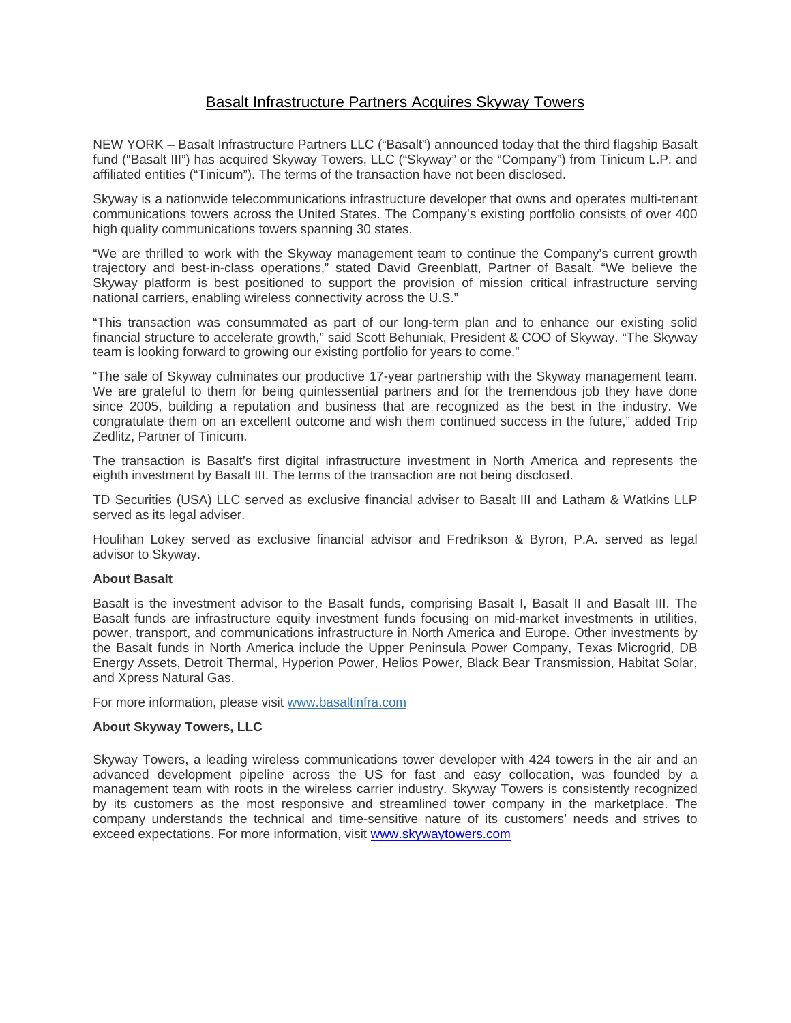## Basalt Infrastructure Partners Acquires Skyway Towers

NEW YORK – Basalt Infrastructure Partners LLC ("Basalt") announced today that the third flagship Basalt fund ("Basalt III") has acquired Skyway Towers, LLC ("Skyway" or the "Company") from Tinicum L.P. and affiliated entities ("Tinicum"). The terms of the transaction have not been disclosed.

Skyway is a nationwide telecommunications infrastructure developer that owns and operates multi-tenant communications towers across the United States. The Company's existing portfolio consists of over 400 high quality communications towers spanning 30 states.

"We are thrilled to work with the Skyway management team to continue the Company's current growth trajectory and best-in-class operations," stated David Greenblatt, Partner of Basalt. "We believe the Skyway platform is best positioned to support the provision of mission critical infrastructure serving national carriers, enabling wireless connectivity across the U.S."

"This transaction was consummated as part of our long-term plan and to enhance our existing solid financial structure to accelerate growth," said Scott Behuniak, President & COO of Skyway. "The Skyway team is looking forward to growing our existing portfolio for years to come."

"The sale of Skyway culminates our productive 17-year partnership with the Skyway management team. We are grateful to them for being quintessential partners and for the tremendous job they have done since 2005, building a reputation and business that are recognized as the best in the industry. We congratulate them on an excellent outcome and wish them continued success in the future," added Trip Zedlitz, Partner of Tinicum.

The transaction is Basalt's first digital infrastructure investment in North America and represents the eighth investment by Basalt III. The terms of the transaction are not being disclosed.

TD Securities (USA) LLC served as exclusive financial adviser to Basalt III and Latham & Watkins LLP served as its legal adviser.

Houlihan Lokey served as exclusive financial advisor and Fredrikson & Byron, P.A. served as legal advisor to Skyway.

## **About Basalt**

Basalt is the investment advisor to the Basalt funds, comprising Basalt I, Basalt II and Basalt III. The Basalt funds are infrastructure equity investment funds focusing on mid-market investments in utilities, power, transport, and communications infrastructure in North America and Europe. Other investments by the Basalt funds in North America include the Upper Peninsula Power Company, Texas Microgrid, DB Energy Assets, Detroit Thermal, Hyperion Power, Helios Power, Black Bear Transmission, Habitat Solar, and Xpress Natural Gas.

For more information, please visit www.basaltinfra.com

## **About Skyway Towers, LLC**

Skyway Towers, a leading wireless communications tower developer with 424 towers in the air and an advanced development pipeline across the US for fast and easy collocation, was founded by a management team with roots in the wireless carrier industry. Skyway Towers is consistently recognized by its customers as the most responsive and streamlined tower company in the marketplace. The company understands the technical and time-sensitive nature of its customers' needs and strives to exceed expectations. For more information, visit www.skywaytowers.com